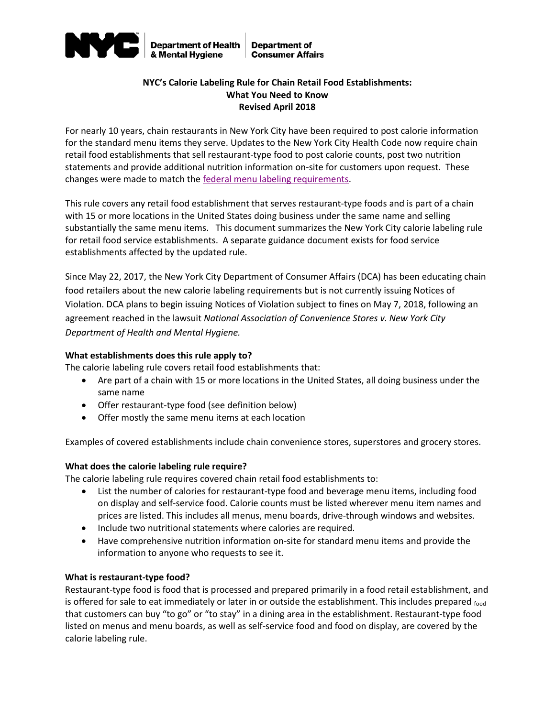

## **NYC's Calorie Labeling Rule for Chain Retail Food Establishments: What You Need to Know Revised April 2018**

For nearly 10 years, chain restaurants in New York City have been required to post calorie information for the standard menu items they serve. Updates to the New York City Health Code now require chain retail food establishments that sell restaurant-type food to post calorie counts, post two nutrition statements and provide additional nutrition information on-site for customers upon request. These changes were made to match the [federal menu labeling requirements.](http://www.fda.gov/downloads/Food/GuidanceRegulation/GuidanceDocumentsRegulatoryInformation/UCM583492.pdf)

This rule covers any retail food establishment that serves restaurant-type foods and is part of a chain with 15 or more locations in the United States doing business under the same name and selling substantially the same menu items. This document summarizes the New York City calorie labeling rule for retail food service establishments. A separate guidance document exists for food service establishments affected by the updated rule.

Since May 22, 2017, the New York City Department of Consumer Affairs (DCA) has been educating chain food retailers about the new calorie labeling requirements but is not currently issuing Notices of Violation. DCA plans to begin issuing Notices of Violation subject to fines on May 7, 2018, following an agreement reached in the lawsuit *National Association of Convenience Stores v. New York City Department of Health and Mental Hygiene.*

## **What establishments does this rule apply to?**

The calorie labeling rule covers retail food establishments that:

- Are part of a chain with 15 or more locations in the United States, all doing business under the same name
- Offer restaurant-type food (see definition below)
- Offer mostly the same menu items at each location

Examples of covered establishments include chain convenience stores, superstores and grocery stores.

## **What does the calorie labeling rule require?**

The calorie labeling rule requires covered chain retail food establishments to:

- List the number of calories for restaurant-type food and beverage menu items, including food on display and self-service food. Calorie counts must be listed wherever menu item names and prices are listed. This includes all menus, menu boards, drive-through windows and websites.
- Include two nutritional statements where calories are required.
- Have comprehensive nutrition information on-site for standard menu items and provide the information to anyone who requests to see it.

## **What is restaurant-type food?**

Restaurant-type food is food that is processed and prepared primarily in a food retail establishment, and is offered for sale to eat immediately or later in or outside the establishment. This includes prepared food that customers can buy "to go" or "to stay" in a dining area in the establishment. Restaurant-type food listed on menus and menu boards, as well as self-service food and food on display, are covered by the calorie labeling rule.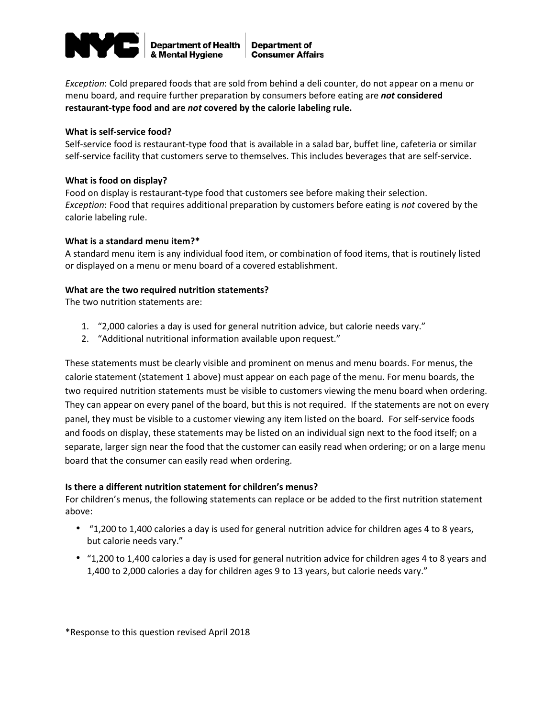

*Exception*: Cold prepared foods that are sold from behind a deli counter, do not appear on a menu or menu board, and require further preparation by consumers before eating are *not* **considered restaurant-type food and are** *not* **covered by the calorie labeling rule.**

#### **What is self-service food?**

Self-service food is restaurant-type food that is available in a salad bar, buffet line, cafeteria or similar self-service facility that customers serve to themselves. This includes beverages that are self-service.

#### **What is food on display?**

Food on display is restaurant-type food that customers see before making their selection. *Exception*: Food that requires additional preparation by customers before eating is *not* covered by the calorie labeling rule.

#### **What is a standard menu item?\***

A standard menu item is any individual food item, or combination of food items, that is routinely listed or displayed on a menu or menu board of a covered establishment.

#### **What are the two required nutrition statements?**

The two nutrition statements are:

- 1. "2,000 calories a day is used for general nutrition advice, but calorie needs vary."
- 2. "Additional nutritional information available upon request."

These statements must be clearly visible and prominent on menus and menu boards. For menus, the calorie statement (statement 1 above) must appear on each page of the menu. For menu boards, the two required nutrition statements must be visible to customers viewing the menu board when ordering. They can appear on every panel of the board, but this is not required. If the statements are not on every panel, they must be visible to a customer viewing any item listed on the board. For self-service foods and foods on display, these statements may be listed on an individual sign next to the food itself; on a separate, larger sign near the food that the customer can easily read when ordering; or on a large menu board that the consumer can easily read when ordering.

## **Is there a different nutrition statement for children's menus?**

For children's menus, the following statements can replace or be added to the first nutrition statement above:

- "1,200 to 1,400 calories a day is used for general nutrition advice for children ages 4 to 8 years, but calorie needs vary."
- "1,200 to 1,400 calories a day is used for general nutrition advice for children ages 4 to 8 years and 1,400 to 2,000 calories a day for children ages 9 to 13 years, but calorie needs vary."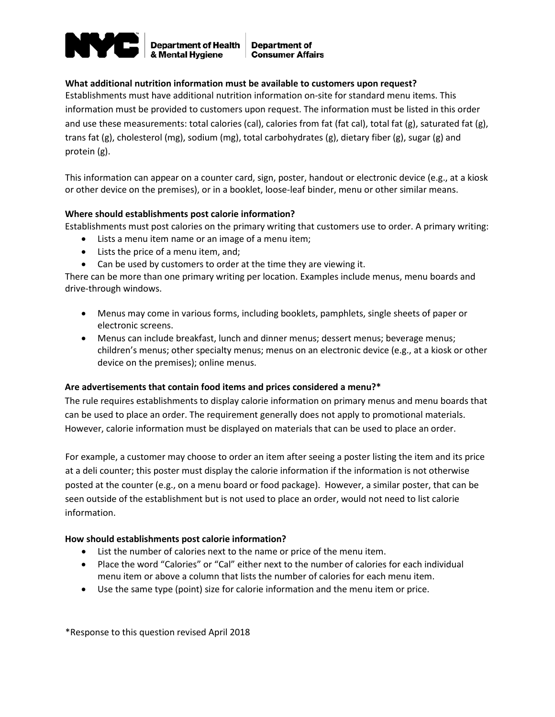

**Department of Health** & Mental Hygiene

**Department of Consumer Affairs** 

## **What additional nutrition information must be available to customers upon request?**

Establishments must have additional nutrition information on-site for standard menu items. This information must be provided to customers upon request. The information must be listed in this order and use these measurements: total calories (cal), calories from fat (fat cal), total fat (g), saturated fat (g), trans fat (g), cholesterol (mg), sodium (mg), total carbohydrates (g), dietary fiber (g), sugar (g) and protein (g).

This information can appear on a counter card, sign, poster, handout or electronic device (e.g., at a kiosk or other device on the premises), or in a booklet, loose-leaf binder, menu or other similar means.

## **Where should establishments post calorie information?**

Establishments must post calories on the primary writing that customers use to order. A primary writing:

- Lists a menu item name or an image of a menu item;
- Lists the price of a menu item, and;
- Can be used by customers to order at the time they are viewing it.

There can be more than one primary writing per location. Examples include menus, menu boards and drive-through windows.

- Menus may come in various forms, including booklets, pamphlets, single sheets of paper or electronic screens.
- Menus can include breakfast, lunch and dinner menus; dessert menus; beverage menus; children's menus; other specialty menus; menus on an electronic device (e.g., at a kiosk or other device on the premises); online menus.

#### **Are advertisements that contain food items and prices considered a menu?\***

The rule requires establishments to display calorie information on primary menus and menu boards that can be used to place an order. The requirement generally does not apply to promotional materials. However, calorie information must be displayed on materials that can be used to place an order.

For example, a customer may choose to order an item after seeing a poster listing the item and its price at a deli counter; this poster must display the calorie information if the information is not otherwise posted at the counter (e.g., on a menu board or food package). However, a similar poster, that can be seen outside of the establishment but is not used to place an order, would not need to list calorie information.

#### **How should establishments post calorie information?**

- List the number of calories next to the name or price of the menu item.
- Place the word "Calories" or "Cal" either next to the number of calories for each individual menu item or above a column that lists the number of calories for each menu item.
- Use the same type (point) size for calorie information and the menu item or price.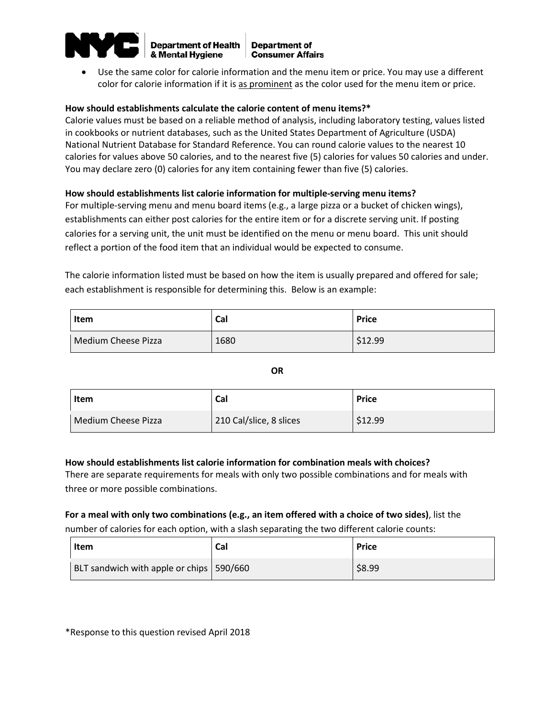

**Department of Health** & Mental Hygiene

**Department of Consumer Affairs** 

• Use the same color for calorie information and the menu item or price. You may use a different color for calorie information if it is as prominent as the color used for the menu item or price.

#### **How should establishments calculate the calorie content of menu items?\***

Calorie values must be based on a reliable method of analysis, including laboratory testing, values listed in cookbooks or nutrient databases, such as the United States Department of Agriculture (USDA) National Nutrient Database for Standard Reference. You can round calorie values to the nearest 10 calories for values above 50 calories, and to the nearest five (5) calories for values 50 calories and under. You may declare zero (0) calories for any item containing fewer than five (5) calories.

## **How should establishments list calorie information for multiple-serving menu items?**

For multiple-serving menu and menu board items (e.g., a large pizza or a bucket of chicken wings), establishments can either post calories for the entire item or for a discrete serving unit. If posting calories for a serving unit, the unit must be identified on the menu or menu board. This unit should reflect a portion of the food item that an individual would be expected to consume.

The calorie information listed must be based on how the item is usually prepared and offered for sale; each establishment is responsible for determining this. Below is an example:

| Item                | Cal  | <b>Price</b> |
|---------------------|------|--------------|
| Medium Cheese Pizza | 1680 | \$12.99      |

**OR**

| Item                | Cal                     | <b>Price</b> |
|---------------------|-------------------------|--------------|
| Medium Cheese Pizza | 210 Cal/slice, 8 slices | \$12.99      |

## **How should establishments list calorie information for combination meals with choices?**

There are separate requirements for meals with only two possible combinations and for meals with three or more possible combinations.

# **For a meal with only two combinations (e.g., an item offered with a choice of two sides)**, list the number of calories for each option, with a slash separating the two different calorie counts:

| Item                                       | Cal | <b>Price</b> |
|--------------------------------------------|-----|--------------|
| BLT sandwich with apple or chips   590/660 |     | \$8.99       |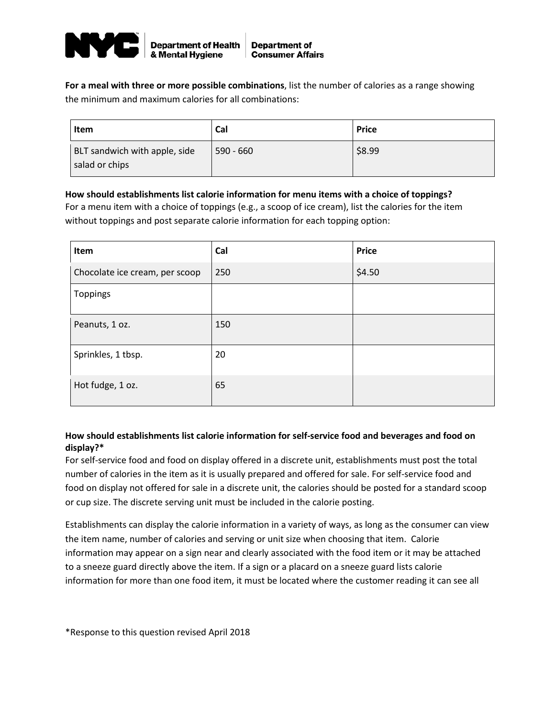

**For a meal with three or more possible combinations**, list the number of calories as a range showing the minimum and maximum calories for all combinations:

| Item                                            | Cal         | <b>Price</b> |
|-------------------------------------------------|-------------|--------------|
| BLT sandwich with apple, side<br>salad or chips | $590 - 660$ | \$8.99       |

## **How should establishments list calorie information for menu items with a choice of toppings?**

For a menu item with a choice of toppings (e.g., a scoop of ice cream), list the calories for the item without toppings and post separate calorie information for each topping option:

| Item                           | Cal | <b>Price</b> |
|--------------------------------|-----|--------------|
| Chocolate ice cream, per scoop | 250 | \$4.50       |
| Toppings                       |     |              |
| Peanuts, 1 oz.                 | 150 |              |
| Sprinkles, 1 tbsp.             | 20  |              |
| Hot fudge, 1 oz.               | 65  |              |

# **How should establishments list calorie information for self-service food and beverages and food on display?\***

For self-service food and food on display offered in a discrete unit, establishments must post the total number of calories in the item as it is usually prepared and offered for sale. For self-service food and food on display not offered for sale in a discrete unit, the calories should be posted for a standard scoop or cup size. The discrete serving unit must be included in the calorie posting.

Establishments can display the calorie information in a variety of ways, as long as the consumer can view the item name, number of calories and serving or unit size when choosing that item. Calorie information may appear on a sign near and clearly associated with the food item or it may be attached to a sneeze guard directly above the item. If a sign or a placard on a sneeze guard lists calorie information for more than one food item, it must be located where the customer reading it can see all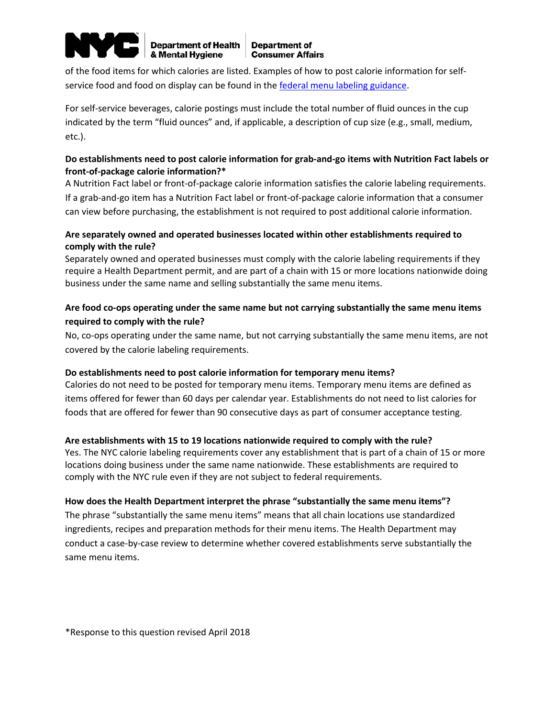

**Department of Health** & Mental Hygiene

of the food items for which calories are listed. Examples of how to post calorie information for selfservice food and food on display can be found in the [federal menu labeling guidance.](http://www.fda.gov/downloads/Food/GuidanceRegulation/GuidanceDocumentsRegulatoryInformation/UCM583492.pdf)

For self-service beverages, calorie postings must include the total number of fluid ounces in the cup indicated by the term "fluid ounces" and, if applicable, a description of cup size (e.g., small, medium, etc.).

# **Do establishments need to post calorie information for grab-and-go items with Nutrition Fact labels or front-of-package calorie information?\***

A Nutrition Fact label or front-of-package calorie information satisfies the calorie labeling requirements. If a grab-and-go item has a Nutrition Fact label or front-of-package calorie information that a consumer can view before purchasing, the establishment is not required to post additional calorie information.

# **Are separately owned and operated businesses located within other establishments required to comply with the rule?**

Separately owned and operated businesses must comply with the calorie labeling requirements if they require a Health Department permit, and are part of a chain with 15 or more locations nationwide doing business under the same name and selling substantially the same menu items.

# **Are food co-ops operating under the same name but not carrying substantially the same menu items required to comply with the rule?**

No, co-ops operating under the same name, but not carrying substantially the same menu items, are not covered by the calorie labeling requirements.

# **Do establishments need to post calorie information for temporary menu items?**

Calories do not need to be posted for temporary menu items. Temporary menu items are defined as items offered for fewer than 60 days per calendar year. Establishments do not need to list calories for foods that are offered for fewer than 90 consecutive days as part of consumer acceptance testing.

# **Are establishments with 15 to 19 locations nationwide required to comply with the rule?**

Yes. The NYC calorie labeling requirements cover any establishment that is part of a chain of 15 or more locations doing business under the same name nationwide. These establishments are required to comply with the NYC rule even if they are not subject to federal requirements.

# **How does the Health Department interpret the phrase "substantially the same menu items"?**

The phrase "substantially the same menu items" means that all chain locations use standardized ingredients, recipes and preparation methods for their menu items. The Health Department may conduct a case-by-case review to determine whether covered establishments serve substantially the same menu items.